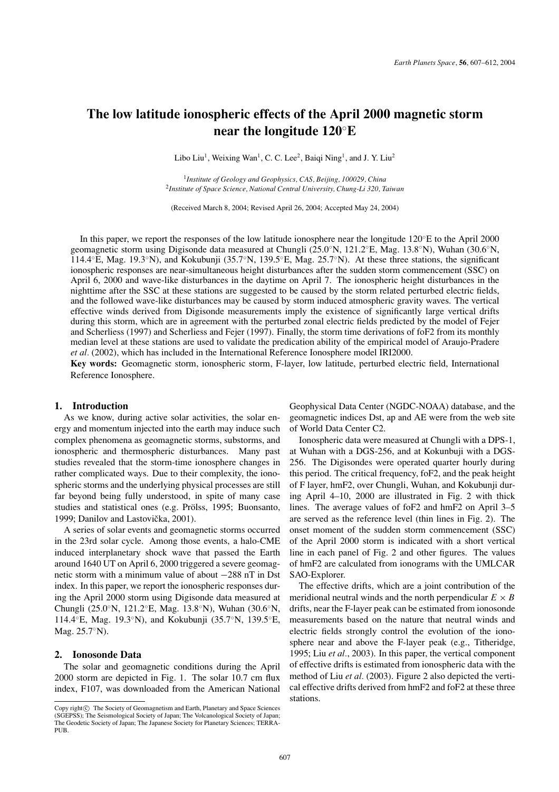# **The low latitude ionospheric effects of the April 2000 magnetic storm near the longitude 120**◦**E**

Libo Liu<sup>1</sup>, Weixing Wan<sup>1</sup>, C. C. Lee<sup>2</sup>, Baiqi Ning<sup>1</sup>, and J. Y. Liu<sup>2</sup>

<sup>1</sup>*Institute of Geology and Geophysics, CAS, Beijing, 100029, China* <sup>2</sup>*Institute of Space Science, National Central University, Chung-Li 320, Taiwan*

(Received March 8, 2004; Revised April 26, 2004; Accepted May 24, 2004)

In this paper, we report the responses of the low latitude ionosphere near the longitude 120◦E to the April 2000 geomagnetic storm using Digisonde data measured at Chungli (25.0◦N, 121.2◦E, Mag. 13.8◦N), Wuhan (30.6◦N, 114.4◦E, Mag. 19.3◦N), and Kokubunji (35.7◦N, 139.5◦E, Mag. 25.7◦N). At these three stations, the significant ionospheric responses are near-simultaneous height disturbances after the sudden storm commencement (SSC) on April 6, 2000 and wave-like disturbances in the daytime on April 7. The ionospheric height disturbances in the nighttime after the SSC at these stations are suggested to be caused by the storm related perturbed electric fields, and the followed wave-like disturbances may be caused by storm induced atmospheric gravity waves. The vertical effective winds derived from Digisonde measurements imply the existence of significantly large vertical drifts during this storm, which are in agreement with the perturbed zonal electric fields predicted by the model of Fejer and Scherliess (1997) and Scherliess and Fejer (1997). Finally, the storm time derivations of foF2 from its monthly median level at these stations are used to validate the predication ability of the empirical model of Araujo-Pradere *et al.* (2002), which has included in the International Reference Ionosphere model IRI2000.

**Key words:** Geomagnetic storm, ionospheric storm, F-layer, low latitude, perturbed electric field, International Reference Ionosphere.

### **1. Introduction**

As we know, during active solar activities, the solar energy and momentum injected into the earth may induce such complex phenomena as geomagnetic storms, substorms, and ionospheric and thermospheric disturbances. Many past studies revealed that the storm-time ionosphere changes in rather complicated ways. Due to their complexity, the ionospheric storms and the underlying physical processes are still far beyond being fully understood, in spite of many case studies and statistical ones (e.g. Prölss, 1995; Buonsanto, 1999; Danilov and Lastovička, 2001).

A series of solar events and geomagnetic storms occurred in the 23rd solar cycle. Among those events, a halo-CME induced interplanetary shock wave that passed the Earth around 1640 UT on April 6, 2000 triggered a severe geomagnetic storm with a minimum value of about −288 nT in Dst index. In this paper, we report the ionospheric responses during the April 2000 storm using Digisonde data measured at Chungli (25.0◦N, 121.2◦E, Mag. 13.8◦N), Wuhan (30.6◦N, 114.4◦E, Mag. 19.3◦N), and Kokubunji (35.7◦N, 139.5◦E, Mag. 25.7◦N).

## **2. Ionosonde Data**

The solar and geomagnetic conditions during the April 2000 storm are depicted in Fig. 1. The solar 10.7 cm flux index, F107, was downloaded from the American National

Geophysical Data Center (NGDC-NOAA) database, and the geomagnetic indices Dst, ap and AE were from the web site of World Data Center C2.

Ionospheric data were measured at Chungli with a DPS-1, at Wuhan with a DGS-256, and at Kokunbuji with a DGS-256. The Digisondes were operated quarter hourly during this period. The critical frequency, foF2, and the peak height of F layer, hmF2, over Chungli, Wuhan, and Kokubunji during April 4–10, 2000 are illustrated in Fig. 2 with thick lines. The average values of foF2 and hmF2 on April 3–5 are served as the reference level (thin lines in Fig. 2). The onset moment of the sudden storm commencement (SSC) of the April 2000 storm is indicated with a short vertical line in each panel of Fig. 2 and other figures. The values of hmF2 are calculated from ionograms with the UMLCAR SAO-Explorer.

The effective drifts, which are a joint contribution of the meridional neutral winds and the north perpendicular  $E \times B$ drifts, near the F-layer peak can be estimated from ionosonde measurements based on the nature that neutral winds and electric fields strongly control the evolution of the ionosphere near and above the F-layer peak (e.g., Titheridge, 1995; Liu *et al.*, 2003). In this paper, the vertical component of effective drifts is estimated from ionospheric data with the method of Liu *et al.* (2003). Figure 2 also depicted the vertical effective drifts derived from hmF2 and foF2 at these three stations.

Copy right $\odot$  The Society of Geomagnetism and Earth, Planetary and Space Sciences (SGEPSS); The Seismological Society of Japan; The Volcanological Society of Japan; The Geodetic Society of Japan; The Japanese Society for Planetary Sciences; TERRA-PUB.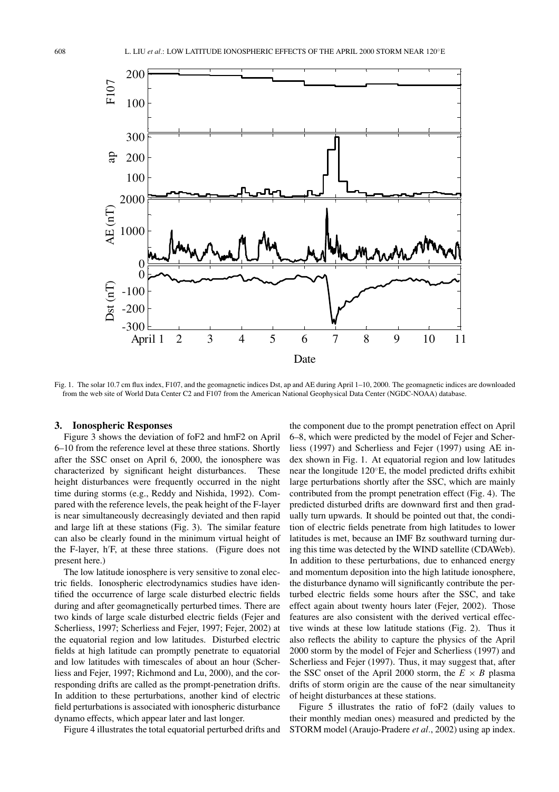

Fig. 1. The solar 10.7 cm flux index, F107, and the geomagnetic indices Dst, ap and AE during April 1–10, 2000. The geomagnetic indices are downloaded from the web site of World Data Center C2 and F107 from the American National Geophysical Data Center (NGDC-NOAA) database.

## **3. Ionospheric Responses**

Figure 3 shows the deviation of foF2 and hmF2 on April 6–10 from the reference level at these three stations. Shortly after the SSC onset on April 6, 2000, the ionosphere was characterized by significant height disturbances. These height disturbances were frequently occurred in the night time during storms (e.g., Reddy and Nishida, 1992). Compared with the reference levels, the peak height of the F-layer is near simultaneously decreasingly deviated and then rapid and large lift at these stations (Fig. 3). The similar feature can also be clearly found in the minimum virtual height of the F-layer, h F, at these three stations. (Figure does not present here.)

The low latitude ionosphere is very sensitive to zonal electric fields. Ionospheric electrodynamics studies have identified the occurrence of large scale disturbed electric fields during and after geomagnetically perturbed times. There are two kinds of large scale disturbed electric fields (Fejer and Scherliess, 1997; Scherliess and Fejer, 1997; Fejer, 2002) at the equatorial region and low latitudes. Disturbed electric fields at high latitude can promptly penetrate to equatorial and low latitudes with timescales of about an hour (Scherliess and Fejer, 1997; Richmond and Lu, 2000), and the corresponding drifts are called as the prompt-penetration drifts. In addition to these perturbations, another kind of electric field perturbations is associated with ionospheric disturbance dynamo effects, which appear later and last longer.

Figure 4 illustrates the total equatorial perturbed drifts and

the component due to the prompt penetration effect on April 6–8, which were predicted by the model of Fejer and Scherliess (1997) and Scherliess and Fejer (1997) using AE index shown in Fig. 1. At equatorial region and low latitudes near the longitude 120◦E, the model predicted drifts exhibit large perturbations shortly after the SSC, which are mainly contributed from the prompt penetration effect (Fig. 4). The predicted disturbed drifts are downward first and then gradually turn upwards. It should be pointed out that, the condition of electric fields penetrate from high latitudes to lower latitudes is met, because an IMF Bz southward turning during this time was detected by the WIND satellite (CDAWeb). In addition to these perturbations, due to enhanced energy and momentum deposition into the high latitude ionosphere, the disturbance dynamo will significantly contribute the perturbed electric fields some hours after the SSC, and take effect again about twenty hours later (Fejer, 2002). Those features are also consistent with the derived vertical effective winds at these low latitude stations (Fig. 2). Thus it also reflects the ability to capture the physics of the April 2000 storm by the model of Fejer and Scherliess (1997) and Scherliess and Fejer (1997). Thus, it may suggest that, after the SSC onset of the April 2000 storm, the  $E \times B$  plasma drifts of storm origin are the cause of the near simultaneity of height disturbances at these stations.

Figure 5 illustrates the ratio of foF2 (daily values to their monthly median ones) measured and predicted by the STORM model (Araujo-Pradere *et al.*, 2002) using ap index.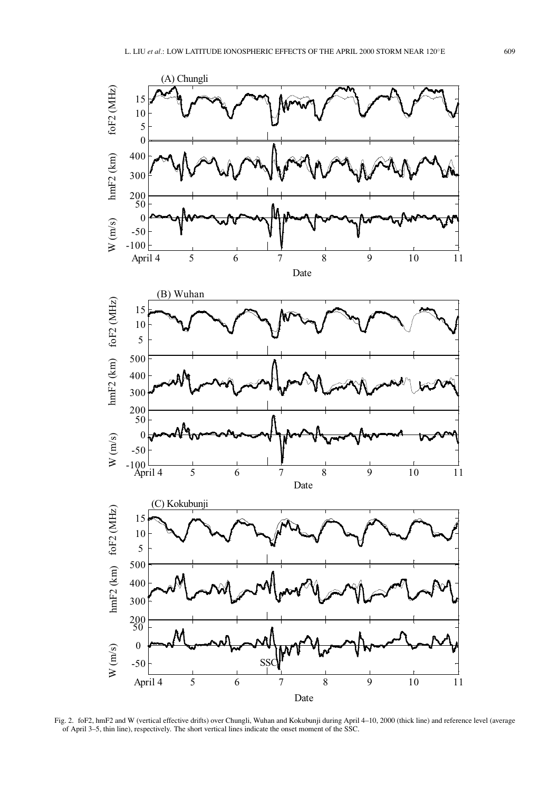

Fig. 2. foF2, hmF2 and W (vertical effective drifts) over Chungli, Wuhan and Kokubunji during April 4–10, 2000 (thick line) and reference level (average of April 3–5, thin line), respectively. The short vertical lines indicate the onset moment of the SSC.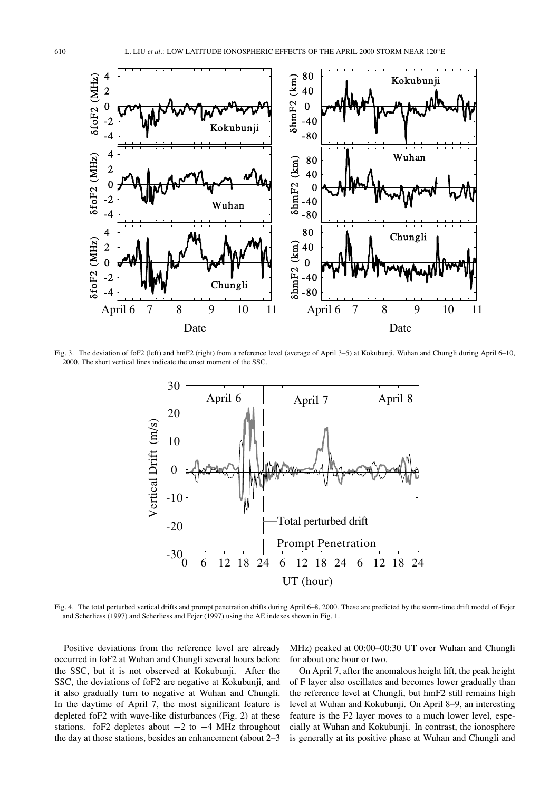

Fig. 3. The deviation of foF2 (left) and hmF2 (right) from a reference level (average of April 3–5) at Kokubunji, Wuhan and Chungli during April 6–10, 2000. The short vertical lines indicate the onset moment of the SSC.



Fig. 4. The total perturbed vertical drifts and prompt penetration drifts during April 6–8, 2000. These are predicted by the storm-time drift model of Fejer and Scherliess (1997) and Scherliess and Fejer (1997) using the AE indexes shown in Fig. 1.

Positive deviations from the reference level are already occurred in foF2 at Wuhan and Chungli several hours before the SSC, but it is not observed at Kokubunji. After the SSC, the deviations of foF2 are negative at Kokubunji, and it also gradually turn to negative at Wuhan and Chungli. In the daytime of April 7, the most significant feature is depleted foF2 with wave-like disturbances (Fig. 2) at these stations. foF2 depletes about  $-2$  to  $-4$  MHz throughout the day at those stations, besides an enhancement (about 2–3

MHz) peaked at 00:00–00:30 UT over Wuhan and Chungli for about one hour or two.

On April 7, after the anomalous height lift, the peak height of F layer also oscillates and becomes lower gradually than the reference level at Chungli, but hmF2 still remains high level at Wuhan and Kokubunji. On April 8–9, an interesting feature is the F2 layer moves to a much lower level, especially at Wuhan and Kokubunji. In contrast, the ionosphere is generally at its positive phase at Wuhan and Chungli and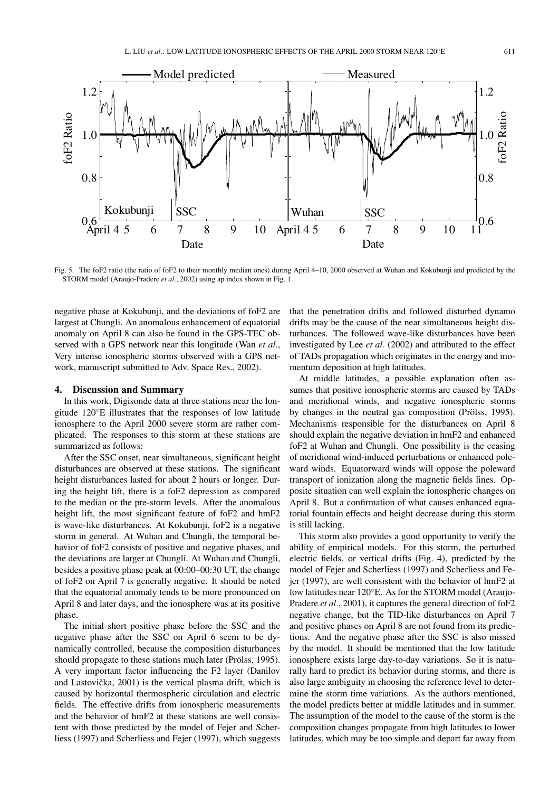

Fig. 5. The foF2 ratio (the ratio of foF2 to their monthly median ones) during April 4–10, 2000 observed at Wuhan and Kokubunji and predicted by the STORM model (Araujo-Pradere *et al.*, 2002) using ap index shown in Fig. 1.

Kokubunji SSC **Wuhan** SSC

negative phase at Kokubunji, and the deviations of foF2 are largest at Chungli. An anomalous enhancement of equatorial anomaly on April 8 can also be found in the GPS-TEC observed with a GPS network near this longitude (Wan *et al.*, Very intense ionospheric storms observed with a GPS network, manuscript submitted to Adv. Space Res., 2002).

April 4 5 6 7 8 9 10

Date

### **4. Discussion and Summary**

0.6

0.8

1.0

foF2 Ratio

oF<sub>2</sub> Ratio

1.2

In this work, Digisonde data at three stations near the longitude 120◦E illustrates that the responses of low latitude ionosphere to the April 2000 severe storm are rather complicated. The responses to this storm at these stations are summarized as follows:

After the SSC onset, near simultaneous, significant height disturbances are observed at these stations. The significant height disturbances lasted for about 2 hours or longer. During the height lift, there is a foF2 depression as compared to the median or the pre-storm levels. After the anomalous height lift, the most significant feature of foF2 and hmF2 is wave-like disturbances. At Kokubunji, foF2 is a negative storm in general. At Wuhan and Chungli, the temporal behavior of foF2 consists of positive and negative phases, and the deviations are larger at Chungli. At Wuhan and Chungli, besides a positive phase peak at 00:00–00:30 UT, the change of foF2 on April 7 is generally negative. It should be noted that the equatorial anomaly tends to be more pronounced on April 8 and later days, and the ionosphere was at its positive phase.

The initial short positive phase before the SSC and the negative phase after the SSC on April 6 seem to be dynamically controlled, because the composition disturbances should propagate to these stations much later (Prölss, 1995). A very important factor influencing the F2 layer (Danilov and Lastovička, 2001) is the vertical plasma drift, which is caused by horizontal thermospheric circulation and electric fields. The effective drifts from ionospheric measurements and the behavior of hmF2 at these stations are well consistent with those predicted by the model of Fejer and Scherliess (1997) and Scherliess and Fejer (1997), which suggests

that the penetration drifts and followed disturbed dynamo drifts may be the cause of the near simultaneous height disturbances. The followed wave-like disturbances have been investigated by Lee *et al.* (2002) and attributed to the effect of TADs propagation which originates in the energy and momentum deposition at high latitudes.

April 4 5 6 7 8 9 10 1

Date

At middle latitudes, a possible explanation often assumes that positive ionospheric storms are caused by TADs and meridional winds, and negative ionospheric storms by changes in the neutral gas composition (Prölss, 1995). Mechanisms responsible for the disturbances on April 8 should explain the negative deviation in hmF2 and enhanced foF2 at Wuhan and Chungli. One possibility is the ceasing of meridional wind-induced perturbations or enhanced poleward winds. Equatorward winds will oppose the poleward transport of ionization along the magnetic fields lines. Opposite situation can well explain the ionospheric changes on April 8. But a confirmation of what causes enhanced equatorial fountain effects and height decrease during this storm is still lacking.

This storm also provides a good opportunity to verify the ability of empirical models. For this storm, the perturbed electric fields, or vertical drifts (Fig. 4), predicted by the model of Fejer and Scherliess (1997) and Scherliess and Fejer (1997), are well consistent with the behavior of hmF2 at low latitudes near 120◦E. As for the STORM model (Araujo-Pradere *et al.*, 2001), it captures the general direction of foF2 negative change, but the TID-like disturbances on April 7 and positive phases on April 8 are not found from its predictions. And the negative phase after the SSC is also missed by the model. It should be mentioned that the low latitude ionosphere exists large day-to-day variations. So it is naturally hard to predict its behavior during storms, and there is also large ambiguity in choosing the reference level to determine the storm time variations. As the authors mentioned, the model predicts better at middle latitudes and in summer. The assumption of the model to the cause of the storm is the composition changes propagate from high latitudes to lower latitudes, which may be too simple and depart far away from

0.6